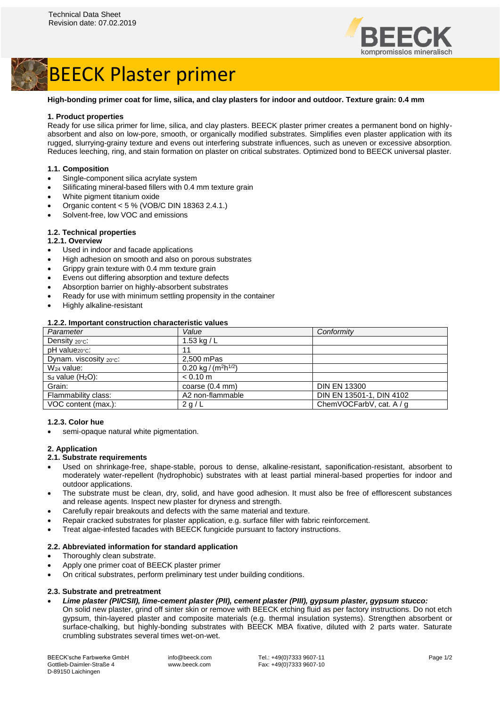

# BEECK Plaster primer

### **High-bonding primer coat for lime, silica, and clay plasters for indoor and outdoor. Texture grain: 0.4 mm**

### **1. Product properties**

Ready for use silica primer for lime, silica, and clay plasters. BEECK plaster primer creates a permanent bond on highlyabsorbent and also on low-pore, smooth, or organically modified substrates. Simplifies even plaster application with its rugged, slurrying-grainy texture and evens out interfering substrate influences, such as uneven or excessive absorption. Reduces leeching, ring, and stain formation on plaster on critical substrates. Optimized bond to BEECK universal plaster.

### **1.1. Composition**

- Single-component silica acrylate system
- Silificating mineral-based fillers with 0.4 mm texture grain
- White pigment titanium oxide
- Organic content < 5 % (VOB/C DIN 18363 2.4.1.)
- Solvent-free, low VOC and emissions

## **1.2. Technical properties**

### **1.2.1. Overview**

- Used in indoor and facade applications
- High adhesion on smooth and also on porous substrates
- Grippy grain texture with 0.4 mm texture grain
- Evens out differing absorption and texture defects
- Absorption barrier on highly-absorbent substrates
- Ready for use with minimum settling propensity in the container
- Highly alkaline-resistant

### **1.2.2. Important construction characteristic values**

| Parameter                        | Value                                        | Conformity               |
|----------------------------------|----------------------------------------------|--------------------------|
| Density $20^{\circ}$ C:          | 1.53 kg / $L$                                |                          |
| pH value <sub>20°C</sub> :       | 11                                           |                          |
| Dynam. viscosity $20^{\circ}$ C: | 2.500 mPas                                   |                          |
| $W_{24}$ value:                  | 0.20 kg / (m <sup>2</sup> h <sup>1/2</sup> ) |                          |
| $s_d$ value $(H_2O)$ :           | $< 0.10$ m                                   |                          |
| Grain:                           | coarse $(0.4 \text{ mm})$                    | <b>DIN EN 13300</b>      |
| Flammability class:              | A2 non-flammable                             | DIN EN 13501-1, DIN 4102 |
| VOC content (max.):              | 2 g/L                                        | ChemVOCFarbV, cat. A / g |

### **1.2.3. Color hue**

semi-opaque natural white pigmentation.

#### **2. Application**

# **2.1. Substrate requirements**

- Used on shrinkage-free, shape-stable, porous to dense, alkaline-resistant, saponification-resistant, absorbent to moderately water-repellent (hydrophobic) substrates with at least partial mineral-based properties for indoor and outdoor applications.
- The substrate must be clean, dry, solid, and have good adhesion. It must also be free of efflorescent substances and release agents. Inspect new plaster for dryness and strength.
- Carefully repair breakouts and defects with the same material and texture.
- Repair cracked substrates for plaster application, e.g. surface filler with fabric reinforcement.
- Treat algae-infested facades with BEECK fungicide pursuant to factory instructions.

### **2.2. Abbreviated information for standard application**

- Thoroughly clean substrate.
- Apply one primer coat of BEECK plaster primer
- On critical substrates, perform preliminary test under building conditions.

### **2.3. Substrate and pretreatment**

- *Lime plaster (PI/CSII), lime-cement plaster (PII), cement plaster (PIII), gypsum plaster, gypsum stucco:*
- On solid new plaster, grind off sinter skin or remove with BEECK etching fluid as per factory instructions. Do not etch gypsum, thin-layered plaster and composite materials (e.g. thermal insulation systems). Strengthen absorbent or surface-chalking, but highly-bonding substrates with BEECK MBA fixative, diluted with 2 parts water. Saturate crumbling substrates several times wet-on-wet.

BEECK'sche Farbwerke GmbH Gottlieb-Daimler-Straße 4 D-89150 Laichingen

info@beeck.com www.beeck.com Tel.: +49(0)7333 9607-11 Fax: +49(0)7333 9607-10